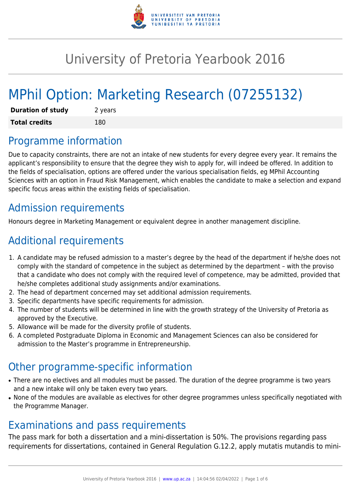

# University of Pretoria Yearbook 2016

# MPhil Option: Marketing Research (07255132)

| <b>Duration of study</b> | 2 years |
|--------------------------|---------|
| <b>Total credits</b>     | 180     |

### Programme information

Due to capacity constraints, there are not an intake of new students for every degree every year. It remains the applicant's responsibility to ensure that the degree they wish to apply for, will indeed be offered. In addition to the fields of specialisation, options are offered under the various specialisation fields, eg MPhil Accounting Sciences with an option in Fraud Risk Management, which enables the candidate to make a selection and expand specific focus areas within the existing fields of specialisation.

## Admission requirements

Honours degree in Marketing Management or equivalent degree in another management discipline.

## Additional requirements

- 1. A candidate may be refused admission to a master's degree by the head of the department if he/she does not comply with the standard of competence in the subject as determined by the department – with the proviso that a candidate who does not comply with the required level of competence, may be admitted, provided that he/she completes additional study assignments and/or examinations.
- 2. The head of department concerned may set additional admission requirements.
- 3. Specific departments have specific requirements for admission.
- 4. The number of students will be determined in line with the growth strategy of the University of Pretoria as approved by the Executive.
- 5. Allowance will be made for the diversity profile of students.
- 6. A completed Postgraduate Diploma in Economic and Management Sciences can also be considered for admission to the Master's programme in Entrepreneurship.

### Other programme-specific information

- There are no electives and all modules must be passed. The duration of the degree programme is two years and a new intake will only be taken every two years.
- None of the modules are available as electives for other degree programmes unless specifically negotiated with the Programme Manager.

### Examinations and pass requirements

The pass mark for both a dissertation and a mini-dissertation is 50%. The provisions regarding pass requirements for dissertations, contained in General Regulation G.12.2, apply mutatis mutandis to mini-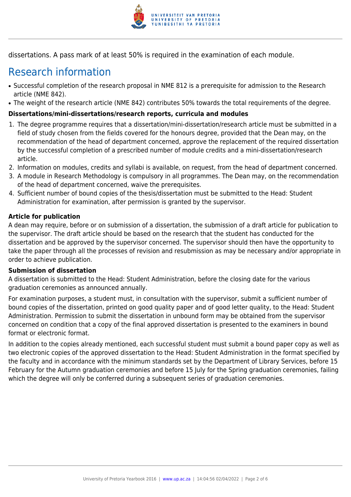

dissertations. A pass mark of at least 50% is required in the examination of each module.

## Research information

- Successful completion of the research proposal in NME 812 is a prerequisite for admission to the Research article (NME 842).
- The weight of the research article (NME 842) contributes 50% towards the total requirements of the degree.

#### **Dissertations/mini-dissertations/research reports, curricula and modules**

- 1. The degree programme requires that a dissertation/mini-dissertation/research article must be submitted in a field of study chosen from the fields covered for the honours degree, provided that the Dean may, on the recommendation of the head of department concerned, approve the replacement of the required dissertation by the successful completion of a prescribed number of module credits and a mini-dissertation/research article.
- 2. Information on modules, credits and syllabi is available, on request, from the head of department concerned.
- 3. A module in Research Methodology is compulsory in all programmes. The Dean may, on the recommendation of the head of department concerned, waive the prerequisites.
- 4. Sufficient number of bound copies of the thesis/dissertation must be submitted to the Head: Student Administration for examination, after permission is granted by the supervisor.

#### **Article for publication**

A dean may require, before or on submission of a dissertation, the submission of a draft article for publication to the supervisor. The draft article should be based on the research that the student has conducted for the dissertation and be approved by the supervisor concerned. The supervisor should then have the opportunity to take the paper through all the processes of revision and resubmission as may be necessary and/or appropriate in order to achieve publication.

#### **Submission of dissertation**

A dissertation is submitted to the Head: Student Administration, before the closing date for the various graduation ceremonies as announced annually.

For examination purposes, a student must, in consultation with the supervisor, submit a sufficient number of bound copies of the dissertation, printed on good quality paper and of good letter quality, to the Head: Student Administration. Permission to submit the dissertation in unbound form may be obtained from the supervisor concerned on condition that a copy of the final approved dissertation is presented to the examiners in bound format or electronic format.

In addition to the copies already mentioned, each successful student must submit a bound paper copy as well as two electronic copies of the approved dissertation to the Head: Student Administration in the format specified by the faculty and in accordance with the minimum standards set by the Department of Library Services, before 15 February for the Autumn graduation ceremonies and before 15 July for the Spring graduation ceremonies, failing which the degree will only be conferred during a subsequent series of graduation ceremonies.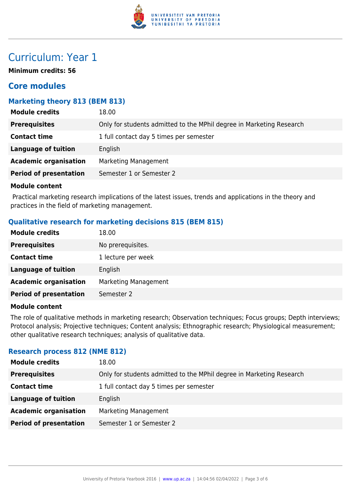

### Curriculum: Year 1

**Minimum credits: 56**

### **Core modules**

#### **Marketing theory 813 (BEM 813)**

| <b>Module credits</b>         | 18.00                                                                |
|-------------------------------|----------------------------------------------------------------------|
| <b>Prerequisites</b>          | Only for students admitted to the MPhil degree in Marketing Research |
| <b>Contact time</b>           | 1 full contact day 5 times per semester                              |
| <b>Language of tuition</b>    | English                                                              |
| <b>Academic organisation</b>  | <b>Marketing Management</b>                                          |
| <b>Period of presentation</b> | Semester 1 or Semester 2                                             |
|                               |                                                                      |

#### **Module content**

 Practical marketing research implications of the latest issues, trends and applications in the theory and practices in the field of marketing management.

#### **Qualitative research for marketing decisions 815 (BEM 815)**

| <b>Module credits</b>         | 18.00                |
|-------------------------------|----------------------|
| <b>Prerequisites</b>          | No prerequisites.    |
| <b>Contact time</b>           | 1 lecture per week   |
| <b>Language of tuition</b>    | English              |
| <b>Academic organisation</b>  | Marketing Management |
| <b>Period of presentation</b> | Semester 2           |

#### **Module content**

The role of qualitative methods in marketing research; Observation techniques; Focus groups; Depth interviews; Protocol analysis; Projective techniques; Content analysis; Ethnographic research; Physiological measurement; other qualitative research techniques; analysis of qualitative data.

#### **Research process 812 (NME 812)**

| <b>Module credits</b>         | 18.00                                                                |
|-------------------------------|----------------------------------------------------------------------|
| <b>Prerequisites</b>          | Only for students admitted to the MPhil degree in Marketing Research |
| <b>Contact time</b>           | 1 full contact day 5 times per semester                              |
| Language of tuition           | English                                                              |
| <b>Academic organisation</b>  | Marketing Management                                                 |
| <b>Period of presentation</b> | Semester 1 or Semester 2                                             |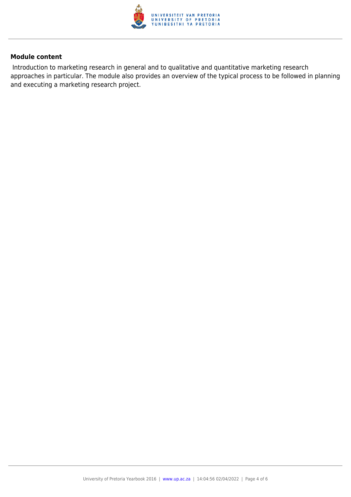

#### **Module content**

 Introduction to marketing research in general and to qualitative and quantitative marketing research approaches in particular. The module also provides an overview of the typical process to be followed in planning and executing a marketing research project.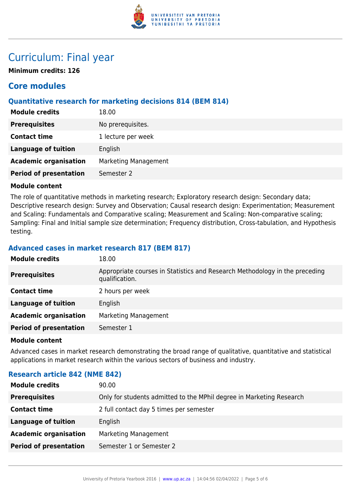

### Curriculum: Final year

**Minimum credits: 126**

### **Core modules**

#### **Quantitative research for marketing decisions 814 (BEM 814)**

| <b>Module credits</b>         | 18.00                       |
|-------------------------------|-----------------------------|
| <b>Prerequisites</b>          | No prerequisites.           |
| <b>Contact time</b>           | 1 lecture per week          |
| <b>Language of tuition</b>    | English                     |
| <b>Academic organisation</b>  | <b>Marketing Management</b> |
| <b>Period of presentation</b> | Semester 2                  |

#### **Module content**

The role of quantitative methods in marketing research; Exploratory research design: Secondary data; Descriptive research design: Survey and Observation; Causal research design: Experimentation; Measurement and Scaling: Fundamentals and Comparative scaling; Measurement and Scaling: Non-comparative scaling; Sampling: Final and Initial sample size determination; Frequency distribution, Cross-tabulation, and Hypothesis testing.

#### **Advanced cases in market research 817 (BEM 817)**

| <b>Module credits</b>         | 18.00                                                                                         |
|-------------------------------|-----------------------------------------------------------------------------------------------|
| <b>Prerequisites</b>          | Appropriate courses in Statistics and Research Methodology in the preceding<br>qualification. |
| <b>Contact time</b>           | 2 hours per week                                                                              |
| <b>Language of tuition</b>    | English                                                                                       |
| <b>Academic organisation</b>  | Marketing Management                                                                          |
| <b>Period of presentation</b> | Semester 1                                                                                    |
|                               |                                                                                               |

#### **Module content**

Advanced cases in market research demonstrating the broad range of qualitative, quantitative and statistical applications in market research within the various sectors of business and industry.

#### **Research article 842 (NME 842)**

| <b>Module credits</b>         | 90.00                                                                |
|-------------------------------|----------------------------------------------------------------------|
| <b>Prerequisites</b>          | Only for students admitted to the MPhil degree in Marketing Research |
| <b>Contact time</b>           | 2 full contact day 5 times per semester                              |
| <b>Language of tuition</b>    | English                                                              |
| <b>Academic organisation</b>  | Marketing Management                                                 |
| <b>Period of presentation</b> | Semester 1 or Semester 2                                             |